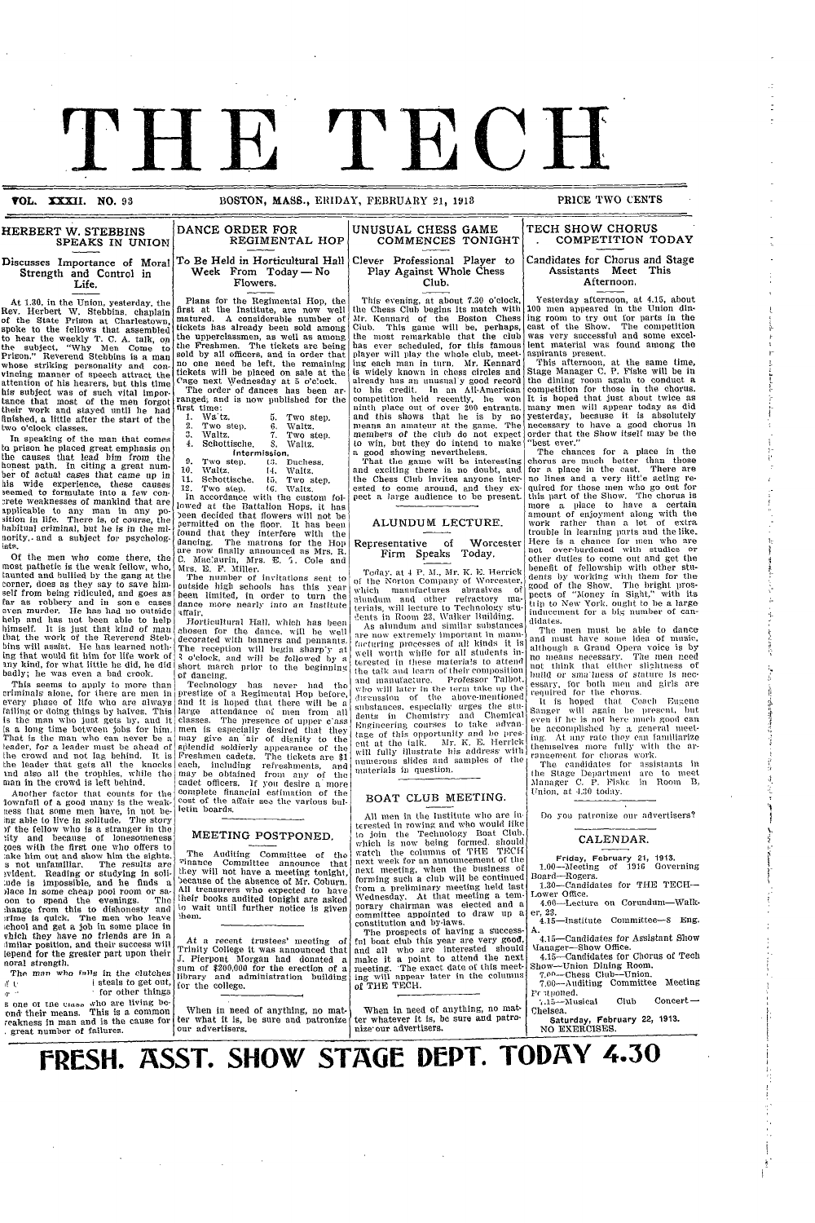

**VOL. XXXII. NO. 93 BOSTON, MASS., ERIDAY, FEBRUARY 21, 1913** 

I

#### **HERBERT W. STEBBINS** SPEAKS IN UNION **Discusses Importance of Moral DANCE ORDER FOR**

.~ ~ -

**Strength** and Control in **Life.**

At 1.30, in the Union, yesterday, the Rev. Herbert W. Stebbins. chaplain of the State Prison at Charlestown, spoke to the fellows that assembled to hear the weekly T. C. A. talk, on the subject, "Why Men Come to Prison." Reverend Stebbins is a man whose striking personality and con- vincing manner of speech attract the attention of his hearers, but this time his subject was of such vital impor-tance that most of the men forgot their work and stayed until he had finished, a little after the start of the two o'clock classes.

In speaking of the man that comes to prison he placed great emphasis on the causes that lead him from the honest path. In citing a great num-ber of actual cases that came up in his wide experience, these causes seemed to formulate into a few concrete weaknesses of mankind that are applicable to any man in any po-sition in life. There is, of course, the habitual criminal, but he is in the midority,- and a subject for psycholog-ists.

Of the men who come there, the most pathetic is the weak fellow, who, taunted and bullied by the gang at the corner, does as they say to save himself from being ridiculed, and goes as far as robbery and in son e cases help and has not been able to help himself. It is just that kind of man that the work of the Reverend Stebbins will assist. He has learned nothing that would fit him for life work of any kind, for what little he did, he did badly; he was even a bad crook.

This seems to apply to more than criminals, alone, for there are men in every phase of life who are always That is the man who can never be a leader, for a leader must be ahead of the crowd and not lag behind. It is<br>the leader that gets all the knocks<br>and also all the trophies, while the man in the crowd is left behind.

Another factor that counts for the lownfall of a good many is the weak-<br>ness that some men have, in not be-<br>ing able to live in solitude. The story )f the fellow who is a stranger in the ,ity and because of lonesomeness roes with the first one who offers to :ake him out and show him the sights. s not unfamiliar. The results are ivident. Reading or studying in soil- Inde is impossible, and he finds a place in some cheap pool room or sa-;hange from this to dishonesty and :rime is quick. The men who leave chool and get a job in some place in vhich they have no friends are in a imilar position, and their success will imilar position, and their success will lepend for the greater part upon their noral strength.

The man who falls in the clutches  $\mathfrak{g}$  to the 1 steals to get out,  $\mathfrak{g}$  the form of the form of the form of the form of the form of the form of the form of the form of the form of the form of the form of the form of the form of the form of the form of the form of the form of the for s one or tue **cia-** ,vho are living be-

ond their means. This is a common weakness in man and is the cause for \* great number of failures.

### REGIMENTAL HOP To Be Held in Horticultural Hall Week From Today - No Flowers.

Plans for the Regimental Hop, the first at the Institute, are now well matured. A considerable number of tickets has already been sold among the upperclassmen, as well as among the Freshmen. The tickets are being sold by all officers, and in order that no one need be left, the remaining tickets will be placed on sale at the Cage next Wednesday at 5 o'clock.

'rhe order of dances has been ar- ranged; and is now published for the first time:<br>1. Wa'tz, 1. Wa'tz. 5. Two step.<br>2. Two step. 6. Waltz.

- Two step. 6.<br>Waltz. 7.
- 3. Waltz. 7. Two step.<br>4. Schottische, 8. Waltz. Schottische.
	- Intermission.<br>Two step. 13. I
- 9. Two step. 13. Duchess.<br>10. Waltz. 14. Waltz.<br>11. Schottische. 15. Two step.

12. Two step. (G. Waltz.<br>In accordance with the custom followed at the Battalion Hops, it has<br>been decided that flowers will not be<br>permitted on the floor. It has been<br>found that they interfere with the dancing. The matrons for the Hop are now finally announced as Mrs. R. C. Mac:aurin, Mrs. E. T. Cole and

Mrs. E. F. Miller. The number of invitations sent to outside high schools has this year been limited, in order to turn the dance more nearly into an Institute affair,.

Horticultural Hall, which has been chosen for the dance, will be well decorated with banners and pennants. The reception will begin sharp'y at  $\frac{2}{3}$  o'clock, and will be followed by a short march prior to the beginning of dancing.

failing or doing things by halves. This large attendance of men from all<br>is the man who just gets by, and it classes. The presence of upper c'ass<br>is a long time between jobs for him. men is especially desired that they Teclhnology has never had the prestige of a Regimental Hop before, and it is holed that there wvill be a large attendance of men from all may give an air of dignity to the splendid soldierly appearance of the Freshmen cadets. The tickets are \$1<br>Freshmen cadets. The tickets are \$1<br>each, including refreshments, and<br>may be obtained from any of the cadet officers. If you desire a more<br>complete financial estimation of the complete financial estimation of the cost of the affair see the various bulletin boards.

#### MEETING POSTPONED.

The Auditing Committee of the<br>Tinance Committee announce that Committee announce that they will not have a meeting tonight because of the absence of Mr. Coburn All treasurers who expected to have their books audited tonight are asked to wait until further notice is given 'hem.

At a recent trustees' meeting of Trinity College it was announced that J. Pierpont Morgan had donated a sum of \$200,000 for the erection of a library and administration building for the college.

When in need of anything, no mat-ter what it is, be sure and patronize our advertisers.

 $\mathcal{O}(\mathcal{O}_\mathcal{O})$  . The contract of the contract of the contract of the contract of the contract of the contract of the contract of the contract of the contract of the contract of the contract of the contract of the co

## Clever Professional Player to Play Against Whole Chess Club.

This evening, at about 7.30 o'clock, the Chess Club begins its match with Mr. Kennard of the Boston Chess Club. This game will be, perhaps, the most remarkable that the club has ever scheduled, for this famous player will play the whole club, meeting each man in turn. Mr. Kennard is widely known in chess circles and already has an unusual'y good record to his credit. In an All-American competition held recently, he won ninth place out of over 200 entrants. and this shows thgt he is by no means an amateur at the game. The members of the club do not expect to win, but they do intend to make a good showing nevertheless.

That the game will be interesting<br>and exciting there is no doubt, and the Chess Club invites anyone interested to come around, and they expect a large audience to be present

#### ALUNDUM LECTURE.

#### Representative of Worcester Firm Speaks Today.

Today. at 4 P. M., Mr. K. E. Herrick of the Norton Company of Worcester, which manufactures abrasives of alundum and other refractory ma-<br>terials, will lecture to Technology stuents in Room 23, Walker Building.<br>As alundum and similar substances

As alundum and similar substances<br>are now extremely important in mann-<br>facturing processes of all kinds it is well worth while for all students in-terested in these materia!s to attend the talk and learn of their composition and manufacture. Professor Talbot.<br>
who will later in the term take up the<br>
discussion of the above-mentioned<br>
substances, especially urges the stu-<br>
dents in Chemistry and Chemical<br>
Engineering courses to take advantage of this opportunity and be pres-<br>ent at the talk. Mr. K. E. Herrick<br>will fully illustrate his address with<br>numerous slides and samples of the materials in question.

#### BOAT CLUB MEETING.

All men in the Institute who are in. terested in rowing and who would like to join the Technology Boat Club. which is now being formed. should watch the columns of THE TECH<br>next week for an announcement of the next meeting, when the business of forming such a club will be continued from a preliminary meeting held last Wednesday. At that meeting a temporary chairman was elected and a committee appointed to draw up a constitution and by-laws.

The prospects of having a success- fil boat club this year are very good, and all who are interested should make it a point to attend the next meeting. \*The exact date of this meet-ing will appear later in the columns of THE TECH.

When in need of anything, no matter whatever it is, be sure and patro-nize- our advertisers.

### UNUSUAL CHESS GAME | TECH SHOW CHORUS COMMENCES TONIGHT . COMPETITION TODAY

#### Candidates for Chorus and Stage Assistants Meet This Afternoon.

Yesterday afternoon, at 4.15, about 100 men appeared in the Union dining room to try out for parts in the cast of the Show. The competition was very successful and some excellent material was found among the aspirants present.

*I*

I

ii

 $\mathbb{C}^1$ a· Ii

.<br>إ  $\vec{r}$ 

I

-f ,7

> **:i 11**

> > **I**

*-l*

This afternoon, at the same **time,** Stage Manager C. P. Fiske will be in the dining room again to conduct a competition for those **in** the chorus. It is hoped that just about twice as many men will appear today as did Yesterday, because it is absolutely necessary to have a good chorus in order that the Show itself **may** be the "best ever."

The chances for a place **in** the chorus are much better than those<br>for a place in the cast. There are no lines and a very little acting required for those men who go out for this part of the Show. The chorus is this part of the Show. The chorus is more a place to have a certain amount of enjoyment along with the work rather than a lot of extra trouble in learning parts and thelike. Here is a chance for men who are not over-burdened with studies or other duties to come out and get the benefit of fellowship with other students by working with them for the good of the Show. The bright pros-<br>pects of "Money in Sight," with its<br>tlip to New York. ought to be a large<br>inducement for a big number of candidates.

The men must be able to dance and must have soue idea of music, although a Grand Opera voice is by no means necessary. The men need<br>not think that either slightness of<br>build or smallness of stature is necessary, for both men and girls are required for the chorus.

It is hoped that Coach Eugene Sanger will again le present. li)t even if he is not here **mille)** good **can** be accomplished **1)by** a general meeting. At any rate they **can** familiarize themselves more fully with the ar-<br>rancement for chorus work.

The candidates for assistants in<br>the Stage Department are to meet<br>Manager C. P. Fiske in Room B,<br>Union, at 4.30 today.

Do You patronize our advertisers?

#### CALENDAR.

**Friday, February** 21, **1913.** 1.00-Mleeting of 1916 Governing Board-Rogers.

 $1.30 -$ Candidates for THE TECH $-$ Lower Office. 4.00-Lecture on Corundum-Walk-

er. 23. 4.15-Institute Committee-8 Eng.

A.

4.15--Candidates for Assistant Show \Ianager-Show Office. 4.15-Candidates for Chorus of Tech

Show--Union Dining Room.<br>7.00--Chess Club--Union. 7.00-Auditing Committee Meeting

Pr *itponed*. ' .15)-Musical Club Concert -

Chelsea. **Saturday, February 22, 1913.**

NO EXERCISES.

**FRESH. ASST. SHOW STAGE DEPT. TODAY 4.30**  $\overline{ }$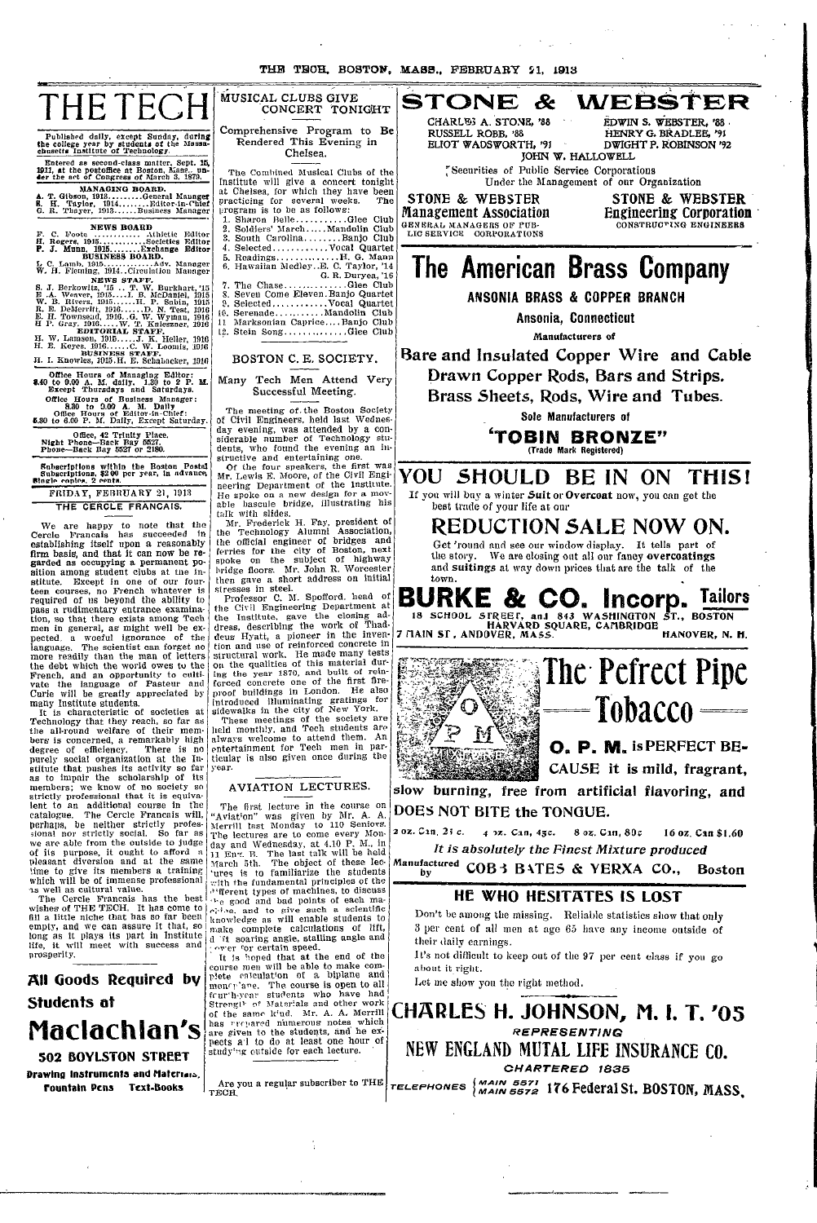## THE TECH MUSICAL CLUBS GIVE WEBSTER STONE  $\mathcal{R}$ CONCERT TONIGHT CHARL<sup>ES</sup> A. STONE, '88 Comprehensive Program to Be RUSSELL ROBB. '88 Published daily, except Sunday, during<br>the college year by students of the Massa-<br>chasetts Institute of Technology. Rendered This Evening in ELIOT WADSWORTH, '91 Chelsea. JOHN W. HALLOWELL Entered as second-class matter, Sept. 16, 1911, at the postoffice at Boston, Mass.. under the act of Congress of March 3, 1879, Securities of Public Service Corporations The Combined Musical Clubs of the Institute will give a concert tonight<br>at Chelsea, for which they have been<br>practicing for several weeks. The<br>program is to be as follows: MANAGING BOARD.<br>A. T. Gibson, 1913.........General Manager<br>B. H. Taylor, 1914........Editor-in-Chief<br>G. R. Thayer, 1913......Business Manager **STONE & WEBSTER Management Association GENERAL MANAGERS OF PUB-<br>LIC SERVICE - CORPORATIONS** Manufacturers of BOSTON C. E. SOCIETY. Office Hours of Managing Editor:<br>8.40 to 9.00 A. M. daily. 1.30 to 2 P. M. Except Thursdays and Saturdays. Many Tech Men Attend Very Successful Meeting. Except Thursdays and Battle Hours.<br>
Office Hours of Business Manager:<br>
8.30 to 9.00 A. M. Daily<br>
Office Hours of Editor-in-Chief:<br>
8.30 to 6.00 P. M. Daily, Except Saturday. The meeting of the Boston Society<br>of Civil Engineers, held last Wednes-<br>day evening, was attended by a con-<br>siderable number of Technology stu-<br>dents, who found the evening an in-<br>structive and entertaining one.<br>Of the fou The meeting of the Boston Society Office, 42 Trinity Place.<br>Night Phone-Back Bay 5527.<br>Phone-Back Bay 5527 or 2180. Subscriptions within the Boston Postal<br>Subscriptions, \$2.00 per year, in advance,<br>Single copies, 2 cents. YOU FRIDAY, FEBRUARY 21, 1913 He spoke on a new design for a mov-<br>able bascule bridge, illustrating his<br>talk with slides.<br>Mr. Frederick H. Fay, president of<br>the Technology Alumni Association,<br>the official engineer of bridges and<br>ferries for the city of THE CERCLE FRANCAIS. best trade of your life at our We are happy to note that the Cercle Francais has succeeded in establishing itself upon a reasonably firm basis, and that it can now be regarded as occupying a permanent position among student clubs at the inthe story. sition among student clubs at the in-<br>stitute. Except in one of our four-<br>teen courses, no French whatever is<br>required of us beyond the ability to<br>pass a rudimentary entrance examina-<br>tion, so that there exists among Tech<br> more readily than the mail of returns<br>the debt which the world over the<br>french, and an opportunity to culti-<br>vale the language of Pasteur and<br>Curie will be greatly appreciated by<br>many Institute students.<br>It is characterist ticular is also given once during the year AVIATION LECTURES. slow burning, free from artificial flavoring, and The first lecture in the course on<br>Aviation" was given by Mr. A. A. The first lecture in the course on "Aviation" was given by Mr. A. A.<br>Merrill last Monday to 110 Seniors.<br>The lectures are to come every Mon-<br>The lectures are to come every Mon-<br>In flay and Wednesday, at 4.10 P. M., in<br>11 DOES NOT BITE the TONGUE. 2 од. Сап. 25 с. 4 2z. Can, 45c. Manufactured COB3 BATES & YERXA CO., their daily carnings. about it right. Let me show you the right method.

CHARLES H. JOHNSON, M. I. T. '05 **REPRESENTING** NEW ENGLAND MUTAL LIFE INSURANCE CO. CHARTERED 1835

Are you a regular subscriber to THE  $\vert$  releptions  $\vert$  MAIN 5572 176 Federal St. BOSTON, MASS.

pleasant diversion and at the same<br>time to give its members a training<br>inch will be of immense professional<br>as well as cultural value.<br>The Cercle Francais has the best<br>wishes of THE TECH. It has come to<br>fill a little niche prosperity.

All Goods Required by Students at Maclachlan's **502 BOYLSTON STREET Drawing Instruments and Materials,** Fountain Pens Text-Books

knowledge as will enable students to<br>make complete calculations of lift,<br>d if soaring angle, stalling angle and<br>correct for certain speed.<br>It is hend that at the end of the<br>course men will be able to make com-<br>plete calcu studying outside for each lecture.

HENRY G. BRADLEE, '91<br>DWIGHT P. ROBINSON '92 Under the Management of our Organization

EDWIN S. WEBSTER, '88

**STONE & WEBSTER** Engineering Corporation

## The American Brass Company

ANSONIA BRASS & COPPER BRANCH

Ansonia, Connecticut

Bare and Insulated Copper Wire and Cable Drawn Copper Rods, Bars and Strips. Brass Sheets, Rods, Wire and Tubes.

Sole Manufacturers of

**TOBIN BRONZE"** (Trade Mark Registered)

SHOULD BE IN ON THIS! If you will buy a winter Suit or Overcoat now, you can get the

REDUCTION SALE NOW ON.

Get 'round and see our window display. It tells part of We are closing out all our fancy overcoatings and suitings at way down prices that are the talk of the

**BURKE & CO. Incorp. Tailors** 18 SCHOOL STREET, and 843 WASHINGTON<br>7 TIAIN ST, ANDOVER, MASS. ST., BOSTON HANOVER, N. H.



8 οι. Can, 80c 16 oz Can \$1.60 It is absolutely the Finest Mixture produced

**Boston** 

## HE WHO HESITATES IS LOST

Don't be among the missing. Reliable statistics show that only 3 per cent of all men at age 65 have any income outside of

It's not difficult to keep out of the 97 per cent class if you go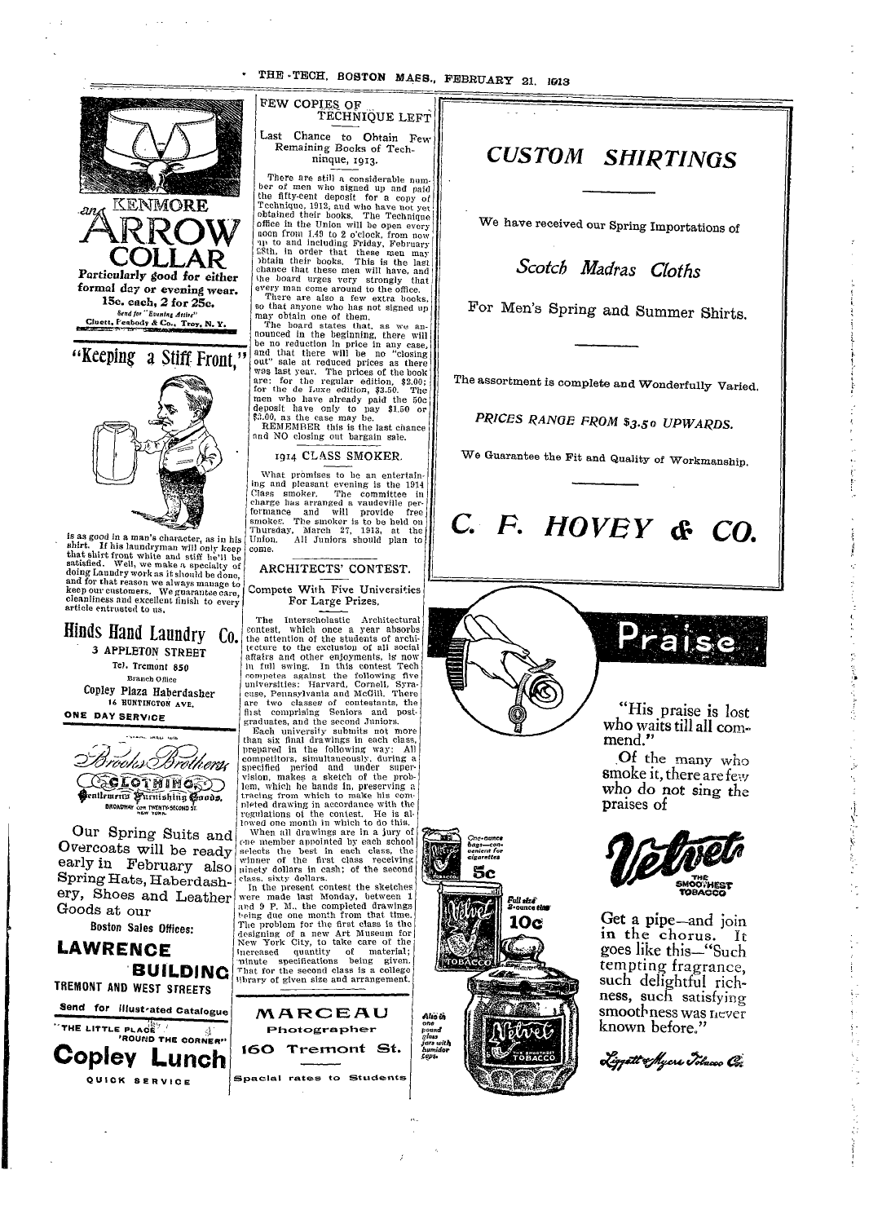THE TECH, BOSTON MASS., FEBRUARY 21, 1613



**BUILDING** TREMONT AND WEST STREETS Send for illustrated Catalogue THE LITTLE PLACE A  $\leq_2^{\infty}$ **Copley Lunch** QUICK SERVICE

FEW COPIES OF TECHNIQUE LEFT Last Chance to Obtain Few Remaining Books of Techninque, 1913.

There are still a considerable num-<br>ber of men who signed up and paid the fifty-cent deposit for a copy of the fitty-cent deposit for a copy of Technique, 1913, and who have not yet<br>cohiand their books. The Technique<br>office in the Union will be open every<br>office in the Union will be open every<br>noon from 1.49 to 2 o'clock, from chance that these men will have, and thance that these men will have, and<br>the board urges very strongly that<br>every man come around to the office. There are also a few extra books,

so that anyone who has not signed up may obtain one of them.

The board states that, as we an-<br>nounced in the beginning, there will<br>be no reduction in price in any case,<br>and that there will be no "closing<br>out" sale at reduced prices as there<br>was last year. The prices of the book are: for the regular edition, \$2.00;<br>for the de Luxe edition, \$3.50. The<br>men who have already paid the 50c deposit have only to pay \$1.50 or<br>\$3.00, as the case may be.<br>REMEMBER this is the last chance and NO closing out bargain sale.

1914 CLASS SMOKER.

What promises to be an entertaining and pleasant evening is the 1914<br>Class smoker. The committee in<br>charge has arranged a vaudeville performance and will provide free<br>smokes. The smoker is to be held on<br>Thursday, March 27, 1913, at the Union. All Juniors should plan to

#### ARCHITECTS' CONTEST.

Compete With Five Universities For Large Prizes.

The Interscholastic Architectural contest, which once a year absorbs the attention of the students of archisecture to the exclusion of all social<br>affairs and other enjoyments, is now<br>in full swing. In this contest Tech competes against the following five<br>universities: Harvard, Cornell, Syra-<br>cuse, Pennsylvania and McGill, There are two classes of contestants, the<br>first comprising Seniors and postgraduates, and the second Juniors.

Each university submits not more<br>than six final drawings in each class,<br>prepared in the following way: All competitors, simultaneously, during a<br>specified period and under supervision, makes a sketch of the problem, which he hands in, preserving a tracing from which to make his com pleted drawing in accordance with the regulations of the contest. He is allowed one month in which to do this.

When all drawings are in a jury of one member appointed by each school selects the best in each class, the winner of the first class receiving pinety dollars in cash; of the second<br>class, sixty dollars.

In the present contest the sketches were made last Monday, between 1 and 9 P. M., the completed drawings and one month from that time.<br>The problem for the first class is the<br>designing of a new Art Museum for New York City, to take care of the increased quantity of material;<br>minute specifications being given. material: That for the second class is a college library of given size and arrangement.



**CUSTOM SHIRTINGS** 

We have received our Spring Importations of

Scotch Madras Cloths

For Men's Spring and Summer Shirts.

The assortment is complete and Wonderfully Varied.

PRICES RANGE FROM \$3.50 UPWARDS.

We Guarantee the Fit and Quality of Workmanship.

# C. F. HOVEY & CO.



5c

Full size

10e

"His praise is lost who waits till all commend."

Of the many who smoke it, there are few who do not sing the praises of



Get a pipe—and join in the chorus. It goes like this-"Such tempting fragrance, such delightful richness, such satisfying smoothness was never known before."